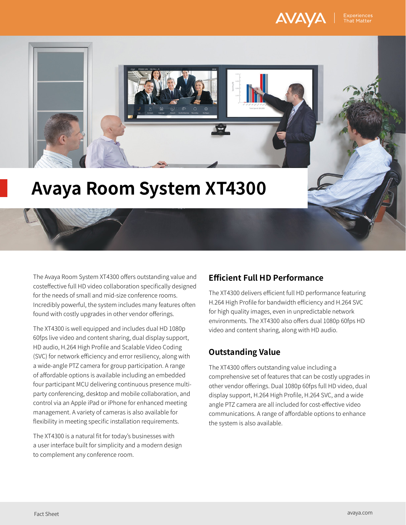



# **Avaya Room System XT4300**

The Avaya Room System XT4300 offers outstanding value and costeffective full HD video collaboration specifically designed for the needs of small and mid-size conference rooms. Incredibly powerful, the system includes many features often found with costly upgrades in other vendor offerings.

The XT4300 is well equipped and includes dual HD 1080p 60fps live video and content sharing, dual display support, HD audio, H.264 High Profile and Scalable Video Coding (SVC) for network efficiency and error resiliency, along with a wide-angle PTZ camera for group participation. A range of affordable options is available including an embedded four participant MCU delivering continuous presence multiparty conferencing, desktop and mobile collaboration, and control via an Apple iPad or iPhone for enhanced meeting management. A variety of cameras is also available for flexibility in meeting specific installation requirements.

The XT4300 is a natural fit for today's businesses with a user interface built for simplicity and a modern design to complement any conference room.

# **Efficient Full HD Performance**

The XT4300 delivers efficient full HD performance featuring H.264 High Profile for bandwidth efficiency and H.264 SVC for high quality images, even in unpredictable network environments. The XT4300 also offers dual 1080p 60fps HD video and content sharing, along with HD audio.

# **Outstanding Value**

The XT4300 offers outstanding value including a comprehensive set of features that can be costly upgrades in other vendor offerings. Dual 1080p 60fps full HD video, dual display support, H.264 High Profile, H.264 SVC, and a wide angle PTZ camera are all included for cost-effective video communications. A range of affordable options to enhance the system is also available.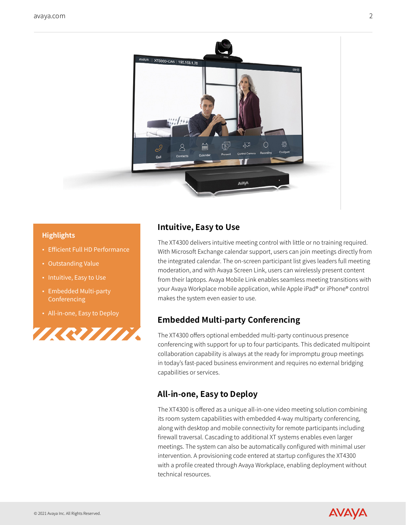

#### **Highlights**

- Efficient Full HD Performance
- **Outstanding Value**
- Intuitive, Easy to Use
- Embedded Multi-party **Conferencing**
- All-in-one, Easy to Deploy



# **Intuitive, Easy to Use**

The XT4300 delivers intuitive meeting control with little or no training required. With Microsoft Exchange calendar support, users can join meetings directly from the integrated calendar. The on-screen participant list gives leaders full meeting moderation, and with Avaya Screen Link, users can wirelessly present content from their laptops. Avaya Mobile Link enables seamless meeting transitions with your Avaya Workplace mobile application, while Apple iPad® or iPhone® control makes the system even easier to use.

# **Embedded Multi-party Conferencing**

The XT4300 offers optional embedded multi-party continuous presence conferencing with support for up to four participants. This dedicated multipoint collaboration capability is always at the ready for impromptu group meetings in today's fast-paced business environment and requires no external bridging capabilities or services.

# **All-in-one, Easy to Deploy**

The XT4300 is offered as a unique all-in-one video meeting solution combining its room system capabilities with embedded 4-way multiparty conferencing, along with desktop and mobile connectivity for remote participants including firewall traversal. Cascading to additional XT systems enables even larger meetings. The system can also be automatically configured with minimal user intervention. A provisioning code entered at startup configures the XT4300 with a profile created through Avaya Workplace, enabling deployment without technical resources.

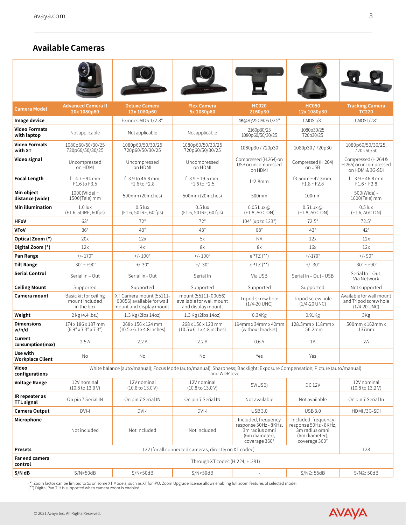# **Available Cameras**

| <b>Camera Model</b>                 | <b>Advanced Camera II</b><br>20x 1080p60                                                                                                   | <b>Deluxe Camera</b><br>12x 1080p60                                              | <b>Flex Camera</b><br>5x 1080p60                                      | <b>HC020</b><br>2160p30                                                                           | <b>HC050</b><br>12x 1080p30                                                                       | <b>Tracking Camera</b><br><b>TC220</b>                                |
|-------------------------------------|--------------------------------------------------------------------------------------------------------------------------------------------|----------------------------------------------------------------------------------|-----------------------------------------------------------------------|---------------------------------------------------------------------------------------------------|---------------------------------------------------------------------------------------------------|-----------------------------------------------------------------------|
| Image device                        |                                                                                                                                            | Exmor CMOS 1/2.8"                                                                |                                                                       | 4K@30/25CMOS1/2.5"                                                                                | CMOS1/3"                                                                                          | CMOS1/2.8"                                                            |
| <b>Video Formats</b><br>with laptop | Not applicable                                                                                                                             | Not applicable                                                                   | Not applicable                                                        | 2160p30/25<br>1080p60/50/30/25                                                                    | 1080p30/25<br>720p30/25                                                                           |                                                                       |
| <b>Video Formats</b><br>with XT     | 1080p60/50/30/25<br>720p60/50/30/25                                                                                                        | 1080p60/50/30/25<br>720p60/50/30/25                                              | 1080p60/50/30/25<br>720p60/50/30/25                                   | 1080p30/720p30                                                                                    | 1080p30/720p30                                                                                    | 1080p60/50/30/25,<br>720p60/50                                        |
| Video signal                        | Uncompressed<br>on HDMI                                                                                                                    | Uncompressed<br>on HDMI                                                          | Uncompressed<br>on HDMI                                               | Compressed (H.264) on<br>USB or uncompressed<br>on HDMI                                           | Compressed (H.264)<br>on USB                                                                      | Compressed (H.264 &<br>H.265) or uncompressed<br>on HDMI & 3G-SDI     |
| <b>Focal Length</b>                 | $f = 4.7 - 94$ mm<br>F1.6 to F3.5                                                                                                          | f=3.9 to 46.8 mm,<br>F1.6 to F2.8                                                | $f = 3.9 - 19.5$ mm,<br>F1.6 to F2.5                                  | $f=2.8$ mm                                                                                        | $f3.5$ mm ~ 42.3mm,<br>$F1.8 \sim F2.8$                                                           | $f = 3.9 - 46.8$ mm<br>$F1.6 \sim F2.8$                               |
| Min object<br>distance (wide)       | $1000$ (Wide) ~<br>1500(Tele) mm                                                                                                           | 500mm (20inches)                                                                 | 500mm (20inches)                                                      | 500mm                                                                                             | 100mm                                                                                             | 500(Wide) -<br>1000(Tele) mm                                          |
| Min illumination                    | $1.0$ lux<br>(F1.6, 50 IRE, 60 fps)                                                                                                        | $0.5$ lux<br>(F1.6, 50 IRE, 60 fps)                                              | $0.5$ lux<br>(F1.6, 50 IRE, 60 fps)                                   | $0.05$ Lux @<br>(F1.8, AGC ON)                                                                    | $0.5$ Lux $\omega$<br>(F1.8, AGC ON)                                                              | $0.5$ lux<br>(F1.6, AGC ON)                                           |
| <b>HFoV</b>                         | $63^\circ$                                                                                                                                 | $72^\circ$                                                                       | $72^\circ$                                                            | $104^{\circ}$ (up to $123^{\circ}$ )                                                              | $72.5^\circ$                                                                                      | $72.5^\circ$                                                          |
| <b>VFoV</b>                         | $36^\circ$                                                                                                                                 | $43^\circ$                                                                       | $43^\circ$                                                            | $68^\circ$                                                                                        | $43^\circ$                                                                                        | $42^{\circ}$                                                          |
| Optical Zoom (*)                    | 20x                                                                                                                                        | 12x                                                                              | 5x                                                                    | <b>NA</b>                                                                                         | 12x                                                                                               | 12x                                                                   |
| Digital Zoom (*)                    | 12x                                                                                                                                        | 4x                                                                               | 8x                                                                    | 8x                                                                                                | 16x                                                                                               | 12x                                                                   |
| Pan Range                           | $+/- 170^{\circ}$                                                                                                                          | $+/- 100^{\circ}$                                                                | $+/-100^{\circ}$                                                      | $e$ PTZ $(**)$                                                                                    | $+/-170^{\circ}$                                                                                  | $+/-90°$                                                              |
| <b>Tilt Range</b>                   | $-30^{\circ} \sim +90^{\circ}$                                                                                                             | $+/-30^{\circ}$                                                                  | $+/- 30^{\circ}$                                                      | $ePTZ$ (**)                                                                                       | $+/- 30^{\circ}$                                                                                  | $-30^{\circ}$ ~ +90°                                                  |
| <b>Serial Control</b>               | Serial In - Out                                                                                                                            | Serial In - Out                                                                  | Serial In                                                             | Via USB                                                                                           | Serial In - Out - USB                                                                             | Serial In - Out,<br>Via Network                                       |
| <b>Ceiling Mount</b>                | Supported                                                                                                                                  | Supported                                                                        | Supported                                                             | Supported                                                                                         | Supported                                                                                         | Not supported                                                         |
| Camera mount                        | Basic kit for ceiling<br>mount included<br>in the box                                                                                      | XT Camera mount (55111-<br>00056) available for wall<br>mount and display mount. | mount (55111-00056)<br>available for wall mount<br>and display mount. | Tripod screw hole<br>$(1/4 - 20$ UNC)                                                             | Tripod screw hole<br>$(1/4 - 20$ UNC)                                                             | Available for wall mount<br>and Tripod screw hole<br>$(1/4 - 20$ UNC) |
| Weight                              | 2 kg (4.4 lbs.)                                                                                                                            | 1.3 Kg (2lbs 14oz)                                                               | 1.3 Kg (2lbs 14oz)                                                    | $0.34$ Kg                                                                                         | $0.91$ Kg                                                                                         | 3Kg                                                                   |
| <b>Dimensions</b><br>w/h/d          | 174 x 186 x 187 mm<br>$(6.9" \times 7.3" \times 7.3")$                                                                                     | 268 x 156 x 124 mm<br>$(10.5 \times 6.1 \times 4.8)$ inches)                     | 268 x 156 x 123 mm<br>$(10.5 \times 6.1 \times 4.8)$ inches)          | 194mm x 34mm x 42mm<br>(without bracket)                                                          | 128.5mm x 118mm x<br>156.2mm                                                                      | 500mm x 162mm x<br>137mm                                              |
| Current<br>consumption (max)        | 2.5A                                                                                                                                       | 2.2A                                                                             | 2.2A                                                                  | 0.6A                                                                                              | 1A                                                                                                | 2A                                                                    |
| Use with<br><b>Workplace Client</b> | No                                                                                                                                         | No                                                                               | No                                                                    | Yes                                                                                               | Yes                                                                                               |                                                                       |
| Video<br>configurations             | White balance (auto/manual); Focus Mode (auto/manual); Sharpness; Backlight; Exposure Compensation; Picture (auto/manual)<br>and WDR level |                                                                                  |                                                                       |                                                                                                   |                                                                                                   |                                                                       |
| <b>Voltage Range</b>                | 12V nominal<br>$(10.8 \text{ to } 13.0 \text{ V})$                                                                                         | 12V nominal<br>$(10.8 \text{ to } 13.0 \text{ V})$                               | 12V nominal<br>$(10.8 \text{ to } 13.0 \text{ V})$                    | 5V(USB)                                                                                           | <b>DC 12V</b>                                                                                     | 12V nominal<br>$(10.8 \text{ to } 13.2 \text{ V})$                    |
| IR repeater as<br><b>TTL signal</b> | On pin 7 Serial IN                                                                                                                         | On pin 7 Serial IN                                                               | On pin 7 Serial IN                                                    | Not available                                                                                     | Not available                                                                                     | On pin 7 Serial In                                                    |
| Camera Output                       | DVI-I                                                                                                                                      | DVI-I                                                                            | DVI-I                                                                 | <b>USB 3.0</b>                                                                                    | <b>USB 3.0</b>                                                                                    | HDMI/3G-SDI                                                           |
| Microphone                          | Not included                                                                                                                               | Not included                                                                     | Not included                                                          | Included, frequency<br>response 50Hz - 8KHz,<br>3m radius omni<br>(6m diameter),<br>coverage 360° | Included, frequency<br>response 50Hz - 8KHz,<br>3m radius omni<br>(6m diameter),<br>coverage 360° |                                                                       |
| <b>Presets</b>                      |                                                                                                                                            | 122 (for all connected cameras, directly on XT codec)<br>128                     |                                                                       |                                                                                                   |                                                                                                   |                                                                       |
| Far end camera<br>control           | Through XT codec (H.224, H.281)                                                                                                            |                                                                                  |                                                                       |                                                                                                   |                                                                                                   |                                                                       |
| $S/N$ dB                            | $S/N$ > 50dB                                                                                                                               | $S/N$ > 50dB                                                                     | S/N>50dB                                                              |                                                                                                   | $S/N \geq 55dB$                                                                                   | $S/N \geq 50dB$                                                       |

(\*) Zoom factor can be limited to 5x on some XT Models, such as XT for IPO. Zoom Upgrade license allows enabling full zoom features of selected model<br>(\*\*) Digital Pan Tilt is supported when camera zoom is enabled.

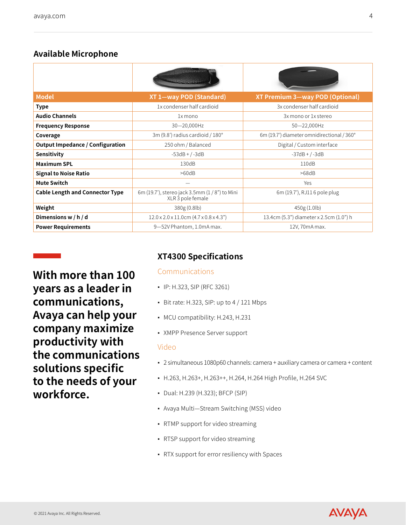# **Available Microphone**

|                                         | <b>Could Hill Gillian</b>                                         |                                            |
|-----------------------------------------|-------------------------------------------------------------------|--------------------------------------------|
| <b>Model</b>                            | XT 1-way POD (Standard)                                           | XT Premium 3-way POD (Optional)            |
| <b>Type</b>                             | 1x condenser half cardioid                                        | 3x condenser half cardioid                 |
| <b>Audio Channels</b>                   | 1x mono                                                           | 3x mono or 1x stereo                       |
| <b>Frequency Response</b>               | 30-20,000Hz                                                       | 50-22,000Hz                                |
| Coverage                                | 3m (9.8') radius cardioid / 180°                                  | 6m (19.7') diameter omnidirectional / 360° |
| <b>Output Impedance / Configuration</b> | 250 ohm / Balanced                                                | Digital / Custom interface                 |
| Sensitivity                             | $-53dB + / -3dB$                                                  | $-37dB + / -3dB$                           |
| <b>Maximum SPL</b>                      | 130dB                                                             | 110dB                                      |
| <b>Signal to Noise Ratio</b>            | >60dB                                                             | >68dB                                      |
| <b>Mute Switch</b>                      |                                                                   | Yes                                        |
| <b>Cable Length and Connector Type</b>  | 6m (19.7'), stereo jack 3.5mm (1/8") to Mini<br>XLR 3 pole female | 6m (19.7'), RJ11 6 pole plug               |
| Weight                                  | 380g (0.8lb)                                                      | 450g (1.0lb)                               |
| Dimensions w / h / d                    | $12.0 \times 2.0 \times 11.0$ cm $(4.7 \times 0.8 \times 4.3")$   | 13.4cm (5.3") diameter x 2.5cm (1.0") h    |
| <b>Power Requirements</b>               | 9-52V Phantom, 1.0mA max.                                         | 12V, 70mA max.                             |

**With more than 100 years as a leader in communications, Avaya can help your company maximize productivity with the communications solutions specific to the needs of your workforce.**

# **XT4300 Specifications**

# Communications

- IP: H.323, SIP (RFC 3261)
- $\bullet$  Bit rate: H.323, SIP: up to 4 / 121 Mbps
- MCU compatibility: H.243, H.231
- XMPP Presence Server support

## Video

- 2 simultaneous 1080p60 channels: camera + auxiliary camera or camera + content
- H.263, H.263+, H.263++, H.264, H.264 High Profile, H.264 SVC
- Dual: H.239 (H.323); BFCP (SIP)
- Avaya Multi—Stream Switching (MSS) video
- RTMP support for video streaming
- RTSP support for video streaming
- RTX support for error resiliency with Spaces

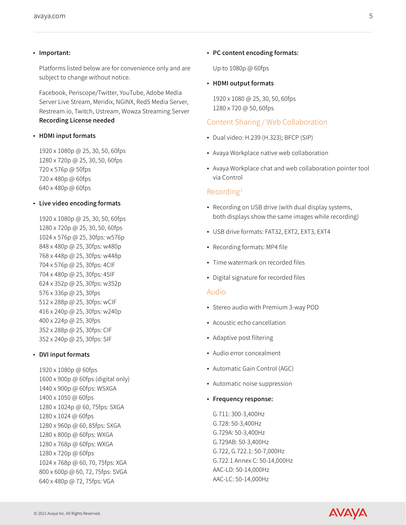#### ▪ Important:

Platforms listed below are for convenience only and are subject to change without notice.

Facebook, Periscope/Twitter, YouTube, Adobe Media Server Live Stream, Meridix, NGINX, Red5 Media Server, Restream.io, Twitch, Ustream, Wowza Streaming Server Recording License needed

#### ▪ HDMI input formats

1920 x 1080p @ 25, 30, 50, 60fps 1280 x 720p @ 25, 30, 50, 60fps 720 x 576p @ 50fps 720 x 480p @ 60fps 640 x 480p @ 60fps

#### ▪ Live video encoding formats

1920 x 1080p @ 25, 30, 50, 60fps 1280 x 720p @ 25, 30, 50, 60fps 1024 x 576p @ 25, 30fps: w576p 848 x 480p @ 25, 30fps: w480p 768 x 448p @ 25, 30fps: w448p 704 x 576p @ 25, 30fps: 4CIF 704 x 480p @ 25, 30fps: 4SIF 624 x 352p @ 25, 30fps: w352p 576 x 336p @ 25, 30fps 512 x 288p @ 25, 30fps: wCIF 416 x 240p @ 25, 30fps: w240p 400 x 224p @ 25, 30fps 352 x 288p @ 25, 30fps: CIF 352 x 240p @ 25, 30fps: SIF

#### ▪ DVI input formats

1920 x 1080p @ 60fps 1600 x 900p @ 60fps (digital only) 1440 x 900p @ 60fps: WSXGA 1400 x 1050 @ 60fps 1280 x 1024p @ 60, 75fps: SXGA 1280 x 1024 @ 60fps 1280 x 960p @ 60, 85fps: SXGA 1280 x 800p @ 60fps: WXGA 1280 x 768p @ 60fps: WXGA 1280 x 720p @ 60fps 1024 x 768p @ 60, 70, 75fps: XGA 800 x 600p @ 60, 72, 75fps: SVGA 640 x 480p @ 72, 75fps: VGA

#### ▪ PC content encoding formats:

Up to 1080p @ 60fps

#### ▪ HDMI output formats

1920 x 1080 @ 25, 30, 50, 60fps 1280 x 720 @ 50, 60fps

#### Content Sharing / Web Collaboration

- Dual video: H.239 (H.323); BFCP (SIP)
- Avaya Workplace native web collaboration
- Avaya Workplace chat and web collaboration pointer tool via Control

#### Recording1

- Recording on USB drive (with dual display systems, both displays show the same images while recording)
- USB drive formats: FAT32, EXT2, EXT3, EXT4
- Recording formats: MP4 file
- Time watermark on recorded files
- Digital signature for recorded files

#### Audio

- Stereo audio with Premium 3-way POD
- Acoustic echo cancellation
- Adaptive post filtering
- Audio error concealment
- Automatic Gain Control (AGC)
- Automatic noise suppression
- Frequency response:

G.711: 300-3,400Hz G.728: 50-3,400Hz G.729A: 50-3,400Hz G.729AB: 50-3,400Hz G.722, G.722.1: 50-7,000Hz G.722.1 Annex C: 50-14,000Hz AAC-LD: 50-14,000Hz AAC-LC: 50-14,000Hz

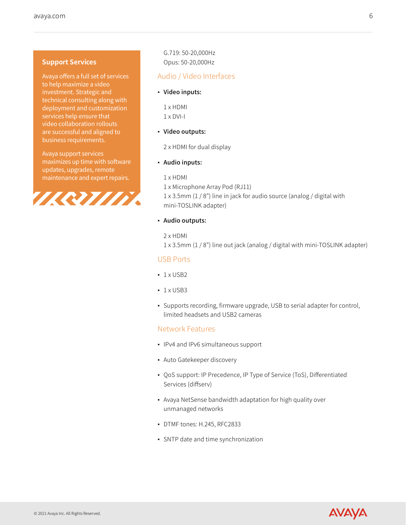#### **Support Services**

Avaya offers a full set of services to help maximize a video investment. Strategic and technical consulting along with deployment and customization services help ensure that video collaboration rollouts are successful and aligned to business requirements.

Avaya support services maximizes up time with software updates, upgrades, remote maintenance and expert repairs.



G.719: 50-20,000Hz Opus: 50-20,000Hz

## Audio / Video Interfaces

#### ▪ Video inputs:

1 x HDMI 1 x DVI-I

#### ▪ Video outputs:

2 x HDMI for dual display

#### ▪ Audio inputs:

1 x HDMI

1 x Microphone Array Pod (RJ11) 1 x 3.5mm (1 / 8") line in jack for audio source (analog / digital with mini-TOSLINK adapter)

#### ▪ Audio outputs:

2 x HDMI

1 x 3.5mm (1 / 8") line out jack (analog / digital with mini-TOSLINK adapter)

#### USB Ports

- $-1 \times$  USB2
- $-1 \times$  USB3
- Supports recording, firmware upgrade, USB to serial adapter for control, limited headsets and USB2 cameras

## Network Features

- IPv4 and IPv6 simultaneous support
- Auto Gatekeeper discovery
- QoS support: IP Precedence, IP Type of Service (ToS), Differentiated Services (diffserv)
- Avaya NetSense bandwidth adaptation for high quality over unmanaged networks
- DTMF tones: H.245, RFC2833
- SNTP date and time synchronization

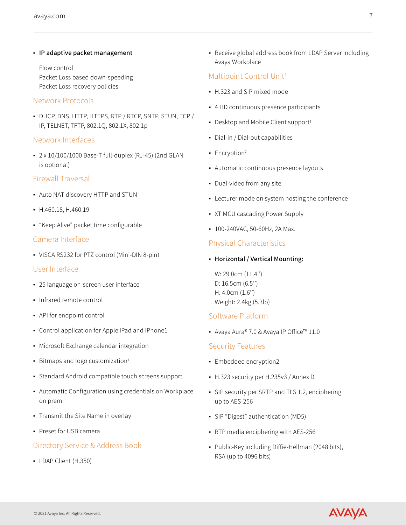▪ IP adaptive packet management

Flow control Packet Loss based down-speeding Packet Loss recovery policies

## Network Protocols

▪ DHCP, DNS, HTTP, HTTPS, RTP / RTCP, SNTP, STUN, TCP / IP, TELNET, TFTP, 802.1Q, 802.1X, 802.1p

## Network Interfaces

▪ 2 x 10/100/1000 Base-T full-duplex (RJ-45) (2nd GLAN is optional)

## Firewall Traversal

- Auto NAT discovery HTTP and STUN
- H.460.18, H.460.19
- "Keep Alive" packet time configurable

## Camera Interface

▪ VISCA RS232 for PTZ control (Mini-DIN 8-pin)

#### User Interface

- 25 language on-screen user interface
- Infrared remote control
- API for endpoint control
- Control application for Apple iPad and iPhone1
- **Microsoft Exchange calendar integration**
- **•** Bitmaps and logo customization<sup>1</sup>
- Standard Android compatible touch screens support
- Automatic Configuration using credentials on Workplace on prem
- **Transmit the Site Name in overlay**
- Preset for USB camera

# Directory Service & Address Book

▪ LDAP Client (H.350)

▪ Receive global address book from LDAP Server including Avaya Workplace

# Multipoint Control Unit<sup>1</sup>

- H.323 and SIP mixed mode
- 4 HD continuous presence participants
- Desktop and Mobile Client support<sup>1</sup>
- Dial-in / Dial-out capabilities
- **·** Encryption<sup>2</sup>
- Automatic continuous presence layouts
- Dual-video from any site
- **Lecturer mode on system hosting the conference**
- XT MCU cascading Power Supply
- 100-240VAC, 50-60Hz, 2A Max.

# Physical Characteristics

▪ Horizontal / Vertical Mounting:

W: 29.0cm (11.4'') D: 16.5cm (6.5'') H: 4.0cm (1.6'') Weight: 2.4kg (5.3lb)

# Software Platform

■ Avaya Aura® 7.0 & Avaya IP Office™ 11.0

# Security Features

- Embedded encryption2
- H.323 security per H.235v3 / Annex D
- SIP security per SRTP and TLS 1.2, enciphering up to AES-256
- SIP "Digest" authentication (MD5)
- RTP media enciphering with AES-256
- Public-Key including Diffie-Hellman (2048 bits), RSA (up to 4096 bits)